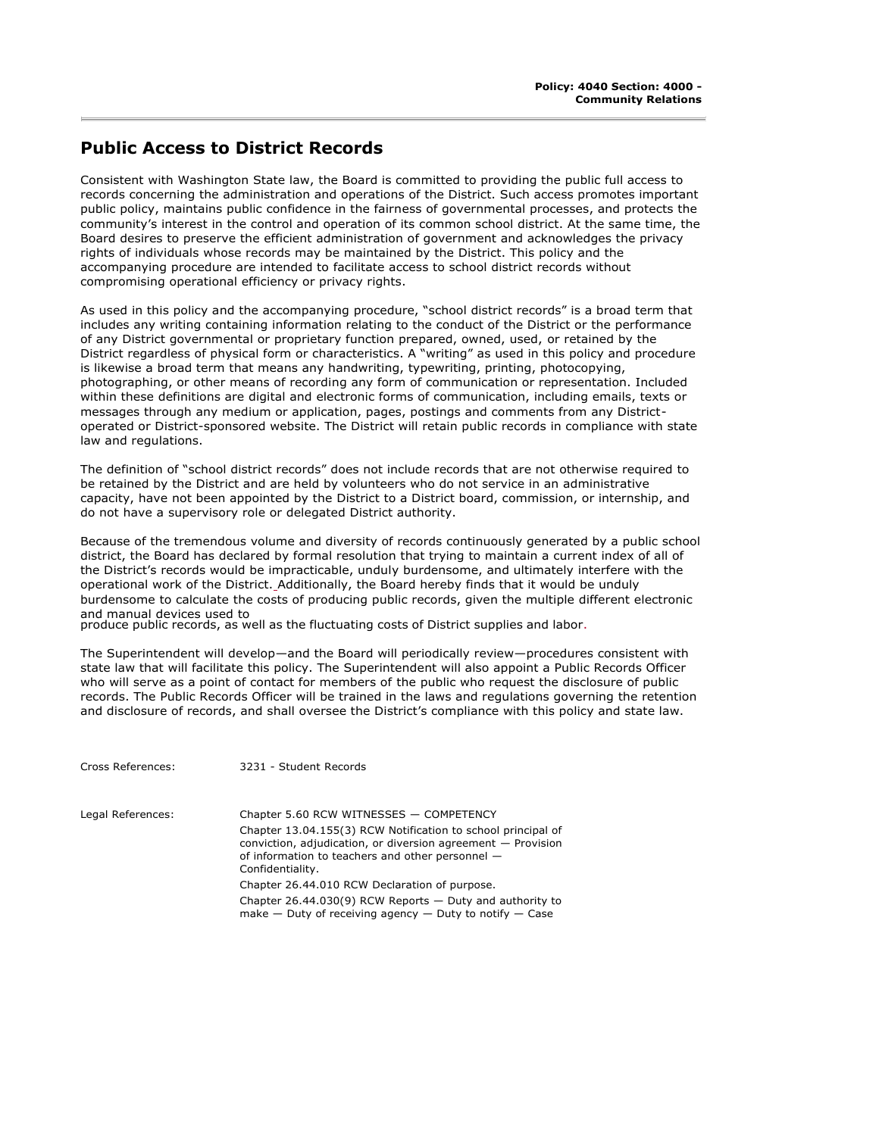## **Public Access to District Records**

Consistent with Washington State law, the Board is committed to providing the public full access to records concerning the administration and operations of the District. Such access promotes important public policy, maintains public confidence in the fairness of governmental processes, and protects the community's interest in the control and operation of its common school district. At the same time, the Board desires to preserve the efficient administration of government and acknowledges the privacy rights of individuals whose records may be maintained by the District. This policy and the accompanying procedure are intended to facilitate access to school district records without compromising operational efficiency or privacy rights.

As used in this policy and the accompanying procedure, "school district records" is a broad term that includes any writing containing information relating to the conduct of the District or the performance of any District governmental or proprietary function prepared, owned, used, or retained by the District regardless of physical form or characteristics. A "writing" as used in this policy and procedure is likewise a broad term that means any handwriting, typewriting, printing, photocopying, photographing, or other means of recording any form of communication or representation. Included within these definitions are digital and electronic forms of communication, including emails, texts or messages through any medium or application, pages, postings and comments from any Districtoperated or District-sponsored website. The District will retain public records in compliance with state law and regulations.

The definition of "school district records" does not include records that are not otherwise required to be retained by the District and are held by volunteers who do not service in an administrative capacity, have not been appointed by the District to a District board, commission, or internship, and do not have a supervisory role or delegated District authority.

Because of the tremendous volume and diversity of records continuously generated by a public school district, the Board has declared by formal resolution that trying to maintain a current index of all of the District's records would be impracticable, unduly burdensome, and ultimately interfere with the operational work of the District. Additionally, the Board hereby finds that it would be unduly burdensome to calculate the costs of producing public records, given the multiple different electronic and manual devices used to

produce public records, as well as the fluctuating costs of District supplies and labor.

The Superintendent will develop—and the Board will periodically review—procedures consistent with state law that will facilitate this policy. The Superintendent will also appoint a Public Records Officer who will serve as a point of contact for members of the public who request the disclosure of public records. The Public Records Officer will be trained in the laws and regulations governing the retention and disclosure of records, and shall oversee the District's compliance with this policy and state law.

| Cross References: | 3231 - Student Records                                                                                                                                                                                 |
|-------------------|--------------------------------------------------------------------------------------------------------------------------------------------------------------------------------------------------------|
| Legal References: | Chapter 5.60 RCW WITNESSES - COMPETENCY                                                                                                                                                                |
|                   | Chapter 13.04.155(3) RCW Notification to school principal of<br>conviction, adjudication, or diversion agreement $-$ Provision<br>of information to teachers and other personnel -<br>Confidentiality. |
|                   | Chapter 26.44.010 RCW Declaration of purpose.                                                                                                                                                          |
|                   | Chapter 26.44.030(9) RCW Reports $-$ Duty and authority to<br>make $-$ Duty of receiving agency $-$ Duty to notify $-$ Case                                                                            |